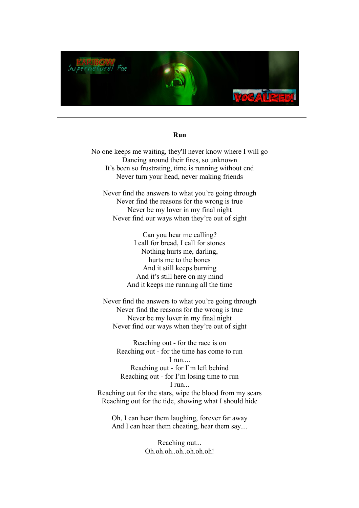

#### **Run**

No one keeps me waiting, they'll never know where I will go Dancing around their fires, so unknown It's been so frustrating, time is running without end Never turn your head, never making friends

Never find the answers to what you're going through Never find the reasons for the wrong is true Never be my lover in my final night Never find our ways when they're out of sight

> Can you hear me calling? I call for bread, I call for stones Nothing hurts me, darling, hurts me to the bones And it still keeps burning And it's still here on my mind And it keeps me running all the time

Never find the answers to what you're going through Never find the reasons for the wrong is true Never be my lover in my final night Never find our ways when they're out of sight

Reaching out - for the race is on Reaching out - for the time has come to run I run... Reaching out - for I'm left behind Reaching out - for I'm losing time to run I run...

Reaching out for the stars, wipe the blood from my scars Reaching out for the tide, showing what I should hide

Oh, I can hear them laughing, forever far away And I can hear them cheating, hear them say....

> Reaching out... Oh.oh.oh..oh..oh.oh.oh!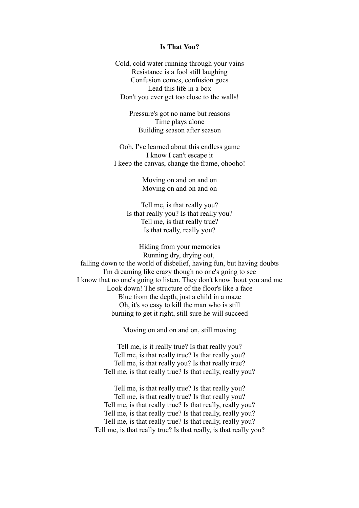# **Is That You?**

Cold, cold water running through your vains Resistance is a fool still laughing Confusion comes, confusion goes Lead this life in a box Don't you ever get too close to the walls!

> Pressure's got no name but reasons Time plays alone Building season after season

Ooh, I've learned about this endless game I know I can't escape it I keep the canvas, change the frame, ohooho!

> Moving on and on and on Moving on and on and on

Tell me, is that really you? Is that really you? Is that really you? Tell me, is that really true? Is that really, really you?

Hiding from your memories Running dry, drying out, falling down to the world of disbelief, having fun, but having doubts I'm dreaming like crazy though no one's going to see I know that no one's going to listen. They don't know 'bout you and me Look down! The structure of the floor's like a face Blue from the depth, just a child in a maze Oh, it's so easy to kill the man who is still burning to get it right, still sure he will succeed

Moving on and on and on, still moving

Tell me, is it really true? Is that really you? Tell me, is that really true? Is that really you? Tell me, is that really you? Is that really true? Tell me, is that really true? Is that really, really you?

Tell me, is that really true? Is that really you? Tell me, is that really true? Is that really you? Tell me, is that really true? Is that really, really you? Tell me, is that really true? Is that really, really you? Tell me, is that really true? Is that really, really you? Tell me, is that really true? Is that really, is that really you?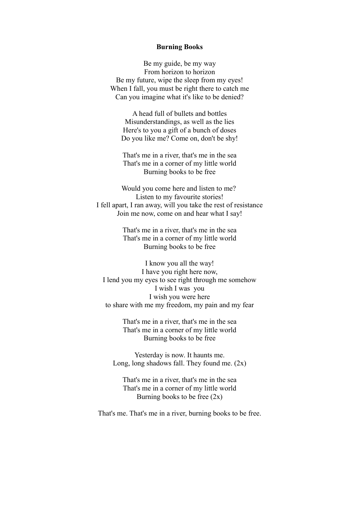## **Burning Books**

Be my guide, be my way From horizon to horizon Be my future, wipe the sleep from my eyes! When I fall, you must be right there to catch me Can you imagine what it's like to be denied?

A head full of bullets and bottles Misunderstandings, as well as the lies Here's to you a gift of a bunch of doses Do you like me? Come on, don't be shy!

That's me in a river, that's me in the sea That's me in a corner of my little world Burning books to be free

Would you come here and listen to me? Listen to my favourite stories! I fell apart, I ran away, will you take the rest of resistance Join me now, come on and hear what I say!

> That's me in a river, that's me in the sea That's me in a corner of my little world Burning books to be free

I know you all the way! I have you right here now, I lend you my eyes to see right through me somehow I wish I was you I wish you were here to share with me my freedom, my pain and my fear

> That's me in a river, that's me in the sea That's me in a corner of my little world Burning books to be free

Yesterday is now. It haunts me. Long, long shadows fall. They found me.  $(2x)$ 

That's me in a river, that's me in the sea That's me in a corner of my little world Burning books to be free  $(2x)$ 

That's me. That's me in a river, burning books to be free.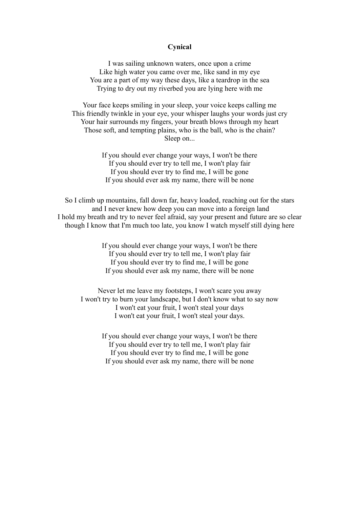# **Cynical**

I was sailing unknown waters, once upon a crime Like high water you came over me, like sand in my eye You are a part of my way these days, like a teardrop in the sea Trying to dry out my riverbed you are lying here with me

Your face keeps smiling in your sleep, your voice keeps calling me This friendly twinkle in your eye, your whisper laughs your words just cry Your hair surrounds my fingers, your breath blows through my heart Those soft, and tempting plains, who is the ball, who is the chain? Sleep on...

> If you should ever change your ways, I won't be there If you should ever try to tell me, I won't play fair If you should ever try to find me, I will be gone If you should ever ask my name, there will be none

So I climb up mountains, fall down far, heavy loaded, reaching out for the stars and I never knew how deep you can move into a foreign land I hold my breath and try to never feel afraid, say your present and future are so clear though I know that I'm much too late, you know I watch myself still dying here

> If you should ever change your ways, I won't be there If you should ever try to tell me, I won't play fair If you should ever try to find me, I will be gone If you should ever ask my name, there will be none

Never let me leave my footsteps, I won't scare you away I won't try to burn your landscape, but I don't know what to say now I won't eat your fruit, I won't steal your days I won't eat your fruit, I won't steal your days.

> If you should ever change your ways, I won't be there If you should ever try to tell me, I won't play fair If you should ever try to find me, I will be gone If you should ever ask my name, there will be none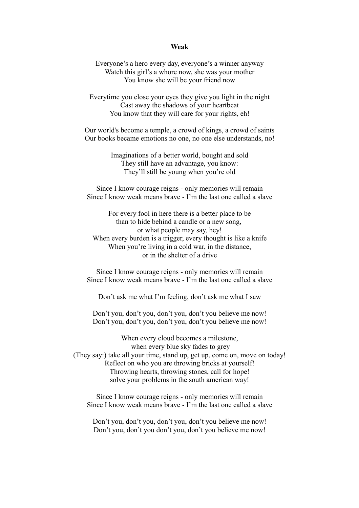#### **Weak**

Everyone's a hero every day, everyone's a winner anyway Watch this girl's a whore now, she was your mother You know she will be your friend now

Everytime you close your eyes they give you light in the night Cast away the shadows of your heartbeat You know that they will care for your rights, eh!

Our world's become a temple, a crowd of kings, a crowd of saints Our books became emotions no one, no one else understands, no!

> Imaginations of a better world, bought and sold They still have an advantage, you know: They'll still be young when you're old

Since I know courage reigns - only memories will remain Since I know weak means brave - I'm the last one called a slave

For every fool in here there is a better place to be than to hide behind a candle or a new song, or what people may say, hey! When every burden is a trigger, every thought is like a knife When you're living in a cold war, in the distance, or in the shelter of a drive

Since I know courage reigns - only memories will remain Since I know weak means brave - I'm the last one called a slave

Don't ask me what I'm feeling, don't ask me what I saw

Don't you, don't you, don't you, don't you believe me now! Don't you, don't you, don't you, don't you believe me now!

When every cloud becomes a milestone, when every blue sky fades to grey (They say:) take all your time, stand up, get up, come on, move on today! Reflect on who you are throwing bricks at yourself! Throwing hearts, throwing stones, call for hope! solve your problems in the south american way!

Since I know courage reigns - only memories will remain Since I know weak means brave - I'm the last one called a slave

Don't you, don't you, don't you, don't you believe me now! Don't you, don't you don't you, don't you believe me now!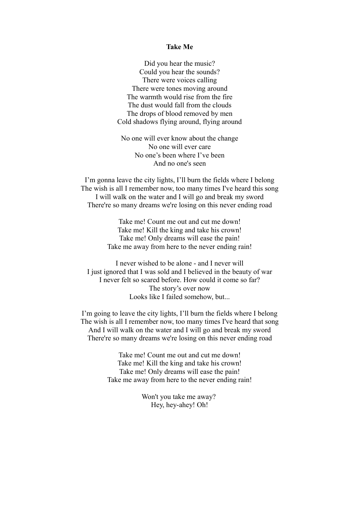### **Take Me**

Did you hear the music? Could you hear the sounds? There were voices calling There were tones moving around The warmth would rise from the fire The dust would fall from the clouds The drops of blood removed by men Cold shadows flying around, flying around

No one will ever know about the change No one will ever care No one's been where I've been And no one's seen

I'm gonna leave the city lights, I'll burn the fields where I belong The wish is all I remember now, too many times I've heard this song I will walk on the water and I will go and break my sword There're so many dreams we're losing on this never ending road

> Take me! Count me out and cut me down! Take me! Kill the king and take his crown! Take me! Only dreams will ease the pain! Take me away from here to the never ending rain!

I never wished to be alone - and I never will I just ignored that I was sold and I believed in the beauty of war I never felt so scared before. How could it come so far? The story's over now Looks like I failed somehow, but...

I'm going to leave the city lights, I'll burn the fields where I belong The wish is all I remember now, too many times I've heard that song And I will walk on the water and I will go and break my sword There're so many dreams we're losing on this never ending road

> Take me! Count me out and cut me down! Take me! Kill the king and take his crown! Take me! Only dreams will ease the pain! Take me away from here to the never ending rain!

> > Won't you take me away? Hey, hey-ahey! Oh!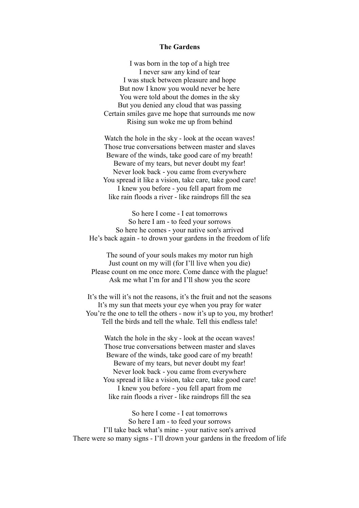## **The Gardens**

I was born in the top of a high tree I never saw any kind of tear I was stuck between pleasure and hope But now I know you would never be here You were told about the domes in the sky But you denied any cloud that was passing Certain smiles gave me hope that surrounds me now Rising sun woke me up from behind

Watch the hole in the sky - look at the ocean waves! Those true conversations between master and slaves Beware of the winds, take good care of my breath! Beware of my tears, but never doubt my fear! Never look back - you came from everywhere You spread it like a vision, take care, take good care! I knew you before - you fell apart from me like rain floods a river - like raindrops fill the sea

So here I come - I eat tomorrows So here I am - to feed your sorrows So here he comes - your native son's arrived He's back again - to drown your gardens in the freedom of life

The sound of your souls makes my motor run high Just count on my will (for I'll live when you die) Please count on me once more. Come dance with the plague! Ask me what I'm for and I'll show you the score

It's the will it's not the reasons, it's the fruit and not the seasons It's my sun that meets your eye when you pray for water You're the one to tell the others - now it's up to you, my brother! Tell the birds and tell the whale. Tell this endless tale!

Watch the hole in the sky - look at the ocean waves! Those true conversations between master and slaves Beware of the winds, take good care of my breath! Beware of my tears, but never doubt my fear! Never look back - you came from everywhere You spread it like a vision, take care, take good care! I knew you before - you fell apart from me like rain floods a river - like raindrops fill the sea

So here I come - I eat tomorrows So here I am - to feed your sorrows I'll take back what's mine - your native son's arrived There were so many signs - I'll drown your gardens in the freedom of life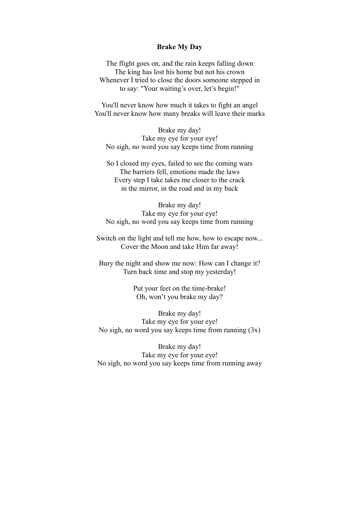## **Brake My Day**

The flight goes on, and the rain keeps falling down The king has lost his home but not his crown Whenever I tried to close the doors someone stepped in to say: "Your waiting's over, let's begin!"

You'll never know how much it takes to fight an angel You'll never know how many breaks will leave their marks

Brake my day! Take my eye for your eye! No sigh, no word you say keeps time from running

So I closed my eyes, failed to see the coming wars The barriers fell, emotions made the laws Every step I take takes me closer to the crack in the mirror, in the road and in my back

Brake my day! Take my eye for your eye! No sigh, no word you say keeps time from running

Switch on the light and tell me how, how to escape now... Cover the Moon and take Him far away!

Bury the night and show me now: How can I change it? Turn back time and stop my yesterday!

> Put your feet on the time-brake! Oh, won't you brake my day?

Brake my day! Take my eye for your eye! No sigh, no word you say keeps time from running  $(3x)$ 

Brake my day! Take my eye for your eye! No sigh, no word you say keeps time from running away